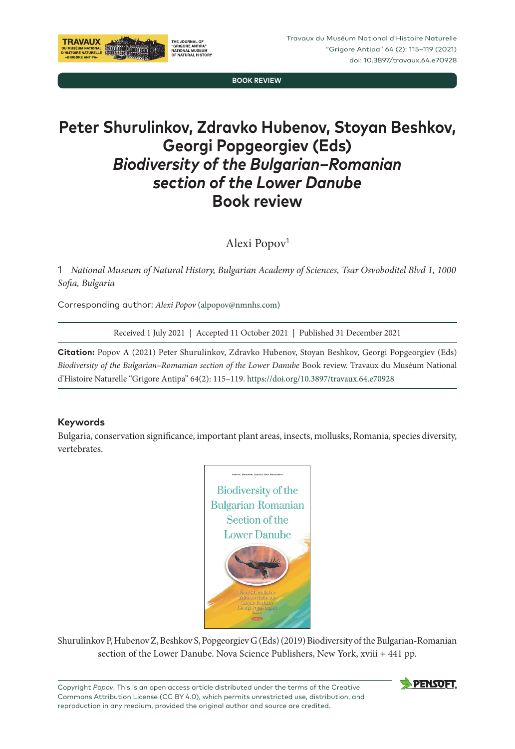**BOOK REVIEW**

## **Peter Shurulinkov, Zdravko Hubenov, Stoyan Beshkov, Georgi Popgeorgiev (Eds)** *Biodiversity of the Bulgarian–Romanian section of the Lower Danube* **Book review**

Alexi Popov<sup>1</sup>

1 *National Museum of Natural History, Bulgarian Academy of Sciences, Tsar Osvoboditel Blvd 1, 1000 Sofia, Bulgaria*

Corresponding author: *Alexi Popov* [\(alpopov@nmnhs.com\)](mailto:alpopov@nmnhs.com)

**THE JOURNAL OF** "GRIGORE ANTIPA"<br>"GRIGORE ANTIPA"<br>OF NATURAL HISTOI

Received 1 July 2021 | Accepted 11 October 2021 | Published 31 December 2021

**Citation:** Popov A (2021) Peter Shurulinkov, Zdravko Hubenov, Stoyan Beshkov, Georgi Popgeorgiev (Eds) *Biodiversity of the Bulgarian–Romanian section of the Lower Danube* Book review. Travaux du Muséum National d'Histoire Naturelle "Grigore Antipa" 64(2): 115–119. <https://doi.org/10.3897/travaux.64.e70928>

## **Keywords**

**TRAVAUX** 

DU MUSÉUM NATION<br>D'HISTOIRE NATUREL

Bulgaria, conservation significance, important plant areas, insects, mollusks, Romania, species diversity, vertebrates.



Shurulinkov P, Hubenov Z, Beshkov S, Popgeorgiev G (Eds) (2019) Biodiversity of the Bulgarian‑Romanian section of the Lower Danube. Nova Science Publishers, New York, xviii + 441 pp.

Copyright *Popov*. This is an open access article distributed under the terms of the Creative Commons Attribution License (CC BY 4.0), which permits unrestricted use, distribution, and reproduction in any medium, provided the original author and source are credited.

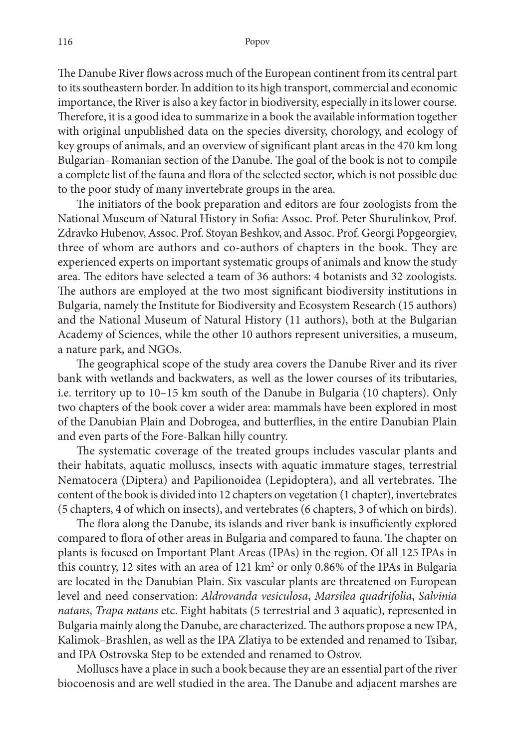The Danube River flows across much of the European continent from its central part to its southeastern border. In addition to its high transport, commercial and economic importance, the River is also a key factor in biodiversity, especially in its lower course. Therefore, it is a good idea to summarize in a book the available information together with original unpublished data on the species diversity, chorology, and ecology of key groups of animals, and an overview of significant plant areas in the 470 km long Bulgarian–Romanian section of the Danube. The goal of the book is not to compile a complete list of the fauna and flora of the selected sector, which is not possible due to the poor study of many invertebrate groups in the area.

The initiators of the book preparation and editors are four zoologists from the National Museum of Natural History in Sofia: Assoc. Prof. Peter Shurulinkov, Prof. Zdravko Hubenov, Assoc. Prof. Stoyan Beshkov, and Assoc. Prof. Georgi Popgeorgiev, three of whom are authors and co-authors of chapters in the book. They are experienced experts on important systematic groups of animals and know the study area. The editors have selected a team of 36 authors: 4 botanists and 32 zoologists. The authors are employed at the two most significant biodiversity institutions in Bulgaria, namely the Institute for Biodiversity and Ecosystem Research (15 authors) and the National Museum of Natural History (11 authors), both at the Bulgarian Academy of Sciences, while the other 10 authors represent universities, a museum, a nature park, and NGOs.

The geographical scope of the study area covers the Danube River and its river bank with wetlands and backwaters, as well as the lower courses of its tributaries, i.e. territory up to 10–15 km south of the Danube in Bulgaria (10 chapters). Only two chapters of the book cover a wider area: mammals have been explored in most of the Danubian Plain and Dobrogea, and butterflies, in the entire Danubian Plain and even parts of the Fore-Balkan hilly country.

The systematic coverage of the treated groups includes vascular plants and their habitats, aquatic molluscs, insects with aquatic immature stages, terrestrial Nematocera (Diptera) and Papilionoidea (Lepidoptera), and all vertebrates. The content of the book is divided into 12 chapters on vegetation (1 chapter), invertebrates (5 chapters, 4 of which on insects), and vertebrates (6 chapters, 3 of which on birds).

The flora along the Danube, its islands and river bank is insufficiently explored compared to flora of other areas in Bulgaria and compared to fauna. The chapter on plants is focused on Important Plant Areas (IPAs) in the region. Of all 125 IPAs in this country, 12 sites with an area of  $121 \text{ km}^2$  or only 0.86% of the IPAs in Bulgaria are located in the Danubian Plain. Six vascular plants are threatened on European level and need conservation: *Aldrovanda vesiculosa*, *Marsilea quadrifolia*, *Salvinia natans*, *Trapa natans* etc. Eight habitats (5 terrestrial and 3 aquatic), represented in Bulgaria mainly along the Danube, are characterized. The authors propose a new IPA, Kalimok–Brashlen, as well as the IPA Zlatiya to be extended and renamed to Tsibar, and IPA Ostrovska Step to be extended and renamed to Ostrov.

Molluscs have a place in such a book because they are an essential part of the river biocoenosis and are well studied in the area. The Danube and adjacent marshes are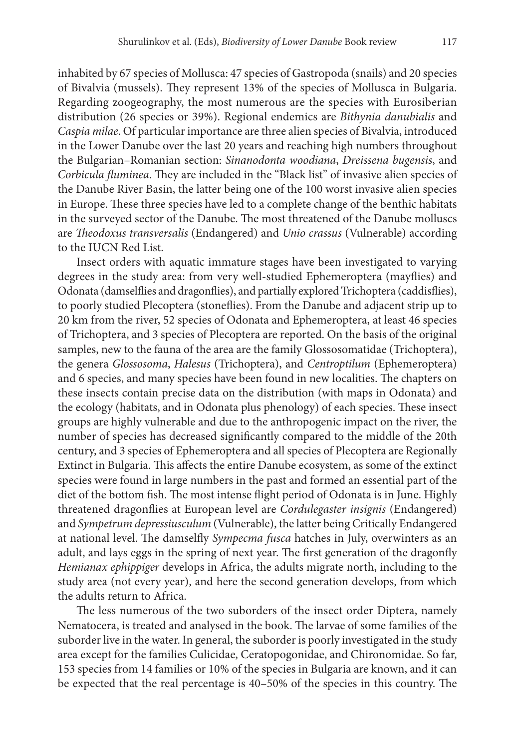inhabited by 67 species of Mollusca: 47 species of Gastropoda (snails) and 20 species of Bivalvia (mussels). They represent 13% of the species of Mollusca in Bulgaria. Regarding zoogeography, the most numerous are the species with Eurosiberian distribution (26 species or 39%). Regional endemics are *Bithynia danubialis* and *Caspia milae*. Of particular importance are three alien species of Bivalvia, introduced in the Lower Danube over the last 20 years and reaching high numbers throughout the Bulgarian–Romanian section: *Sinanodonta woodiana*, *Dreissena bugensis*, and *Corbicula fluminea*. They are included in the "Black list" of invasive alien species of the Danube River Basin, the latter being one of the 100 worst invasive alien species in Europe. These three species have led to a complete change of the benthic habitats in the surveyed sector of the Danube. The most threatened of the Danube molluscs are *Theodoxus transversalis* (Endangered) and *Unio crassus* (Vulnerable) according to the IUCN Red List.

Insect orders with aquatic immature stages have been investigated to varying degrees in the study area: from very well-studied Ephemeroptera (mayflies) and Odonata (damselflies and dragonflies), and partially explored Trichoptera (caddisflies), to poorly studied Plecoptera (stoneflies). From the Danube and adjacent strip up to 20 km from the river, 52 species of Odonata and Ephemeroptera, at least 46 species of Trichoptera, and 3 species of Plecoptera are reported. On the basis of the original samples, new to the fauna of the area are the family Glossosomatidae (Trichoptera), the genera *Glossosoma*, *Halesus* (Trichoptera), and *Centroptilum* (Ephemeroptera) and 6 species, and many species have been found in new localities. The chapters on these insects contain precise data on the distribution (with maps in Odonata) and the ecology (habitats, and in Odonata plus phenology) of each species. These insect groups are highly vulnerable and due to the anthropogenic impact on the river, the number of species has decreased significantly compared to the middle of the 20th century, and 3 species of Ephemeroptera and all species of Plecoptera are Regionally Extinct in Bulgaria. This affects the entire Danube ecosystem, as some of the extinct species were found in large numbers in the past and formed an essential part of the diet of the bottom fish. The most intense flight period of Odonata is in June. Highly threatened dragonflies at European level are *Cordulegaster insignis* (Endangered) and *Sympetrum depressiusculum* (Vulnerable), the latter being Critically Endangered at national level. The damselfly *Sympecma fusca* hatches in July, overwinters as an adult, and lays eggs in the spring of next year. The first generation of the dragonfly *Hemianax ephippiger* develops in Africa, the adults migrate north, including to the study area (not every year), and here the second generation develops, from which the adults return to Africa.

The less numerous of the two suborders of the insect order Diptera, namely Nematocera, is treated and analysed in the book. The larvae of some families of the suborder live in the water. In general, the suborder is poorly investigated in the study area except for the families Culicidae, Ceratopogonidae, and Chironomidae. So far, 153 species from 14 families or 10% of the species in Bulgaria are known, and it can be expected that the real percentage is 40–50% of the species in this country. The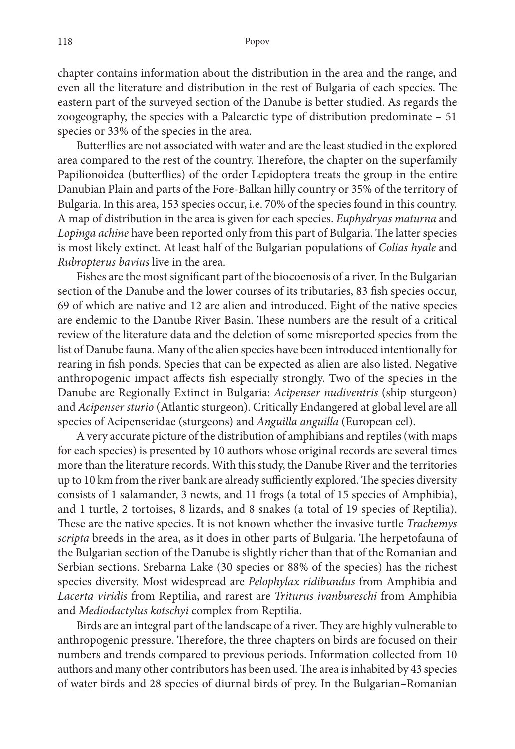chapter contains information about the distribution in the area and the range, and even all the literature and distribution in the rest of Bulgaria of each species. The eastern part of the surveyed section of the Danube is better studied. As regards the zoogeography, the species with a Palearctic type of distribution predominate – 51 species or 33% of the species in the area.

Butterflies are not associated with water and are the least studied in the explored area compared to the rest of the country. Therefore, the chapter on the superfamily Papilionoidea (butterflies) of the order Lepidoptera treats the group in the entire Danubian Plain and parts of the Fore-Balkan hilly country or 35% of the territory of Bulgaria. In this area, 153 species occur, i.e. 70% of the species found in this country. A map of distribution in the area is given for each species. *Euphydryas maturna* and *Lopinga achine* have been reported only from this part of Bulgaria. The latter species is most likely extinct. At least half of the Bulgarian populations of *Colias hyale* and *Rubropterus bavius* live in the area.

Fishes are the most significant part of the biocoenosis of a river. In the Bulgarian section of the Danube and the lower courses of its tributaries, 83 fish species occur, 69 of which are native and 12 are alien and introduced. Eight of the native species are endemic to the Danube River Basin. These numbers are the result of a critical review of the literature data and the deletion of some misreported species from the list of Danube fauna. Many of the alien species have been introduced intentionally for rearing in fish ponds. Species that can be expected as alien are also listed. Negative anthropogenic impact affects fish especially strongly. Two of the species in the Danube are Regionally Extinct in Bulgaria: *Acipenser nudiventris* (ship sturgeon) and *Acipenser sturio* (Atlantic sturgeon). Critically Endangered at global level are all species of Acipenseridae (sturgeons) and *Anguilla anguilla* (European eel).

A very accurate picture of the distribution of amphibians and reptiles (with maps for each species) is presented by 10 authors whose original records are several times more than the literature records. With this study, the Danube River and the territories up to 10 km from the river bank are already sufficiently explored. The species diversity consists of 1 salamander, 3 newts, and 11 frogs (a total of 15 species of Amphibia), and 1 turtle, 2 tortoises, 8 lizards, and 8 snakes (a total of 19 species of Reptilia). These are the native species. It is not known whether the invasive turtle *Trachemys scripta* breeds in the area, as it does in other parts of Bulgaria. The herpetofauna of the Bulgarian section of the Danube is slightly richer than that of the Romanian and Serbian sections. Srebarna Lake (30 species or 88% of the species) has the richest species diversity. Most widespread are *Pelophylax ridibundus* from Amphibia and *Lacerta viridis* from Reptilia, and rarest are *Triturus ivanbureschi* from Amphibia and *Mediodactylus kotschyi* complex from Reptilia.

Birds are an integral part of the landscape of a river. They are highly vulnerable to anthropogenic pressure. Therefore, the three chapters on birds are focused on their numbers and trends compared to previous periods. Information collected from 10 authors and many other contributors has been used. The area is inhabited by 43 species of water birds and 28 species of diurnal birds of prey. In the Bulgarian–Romanian